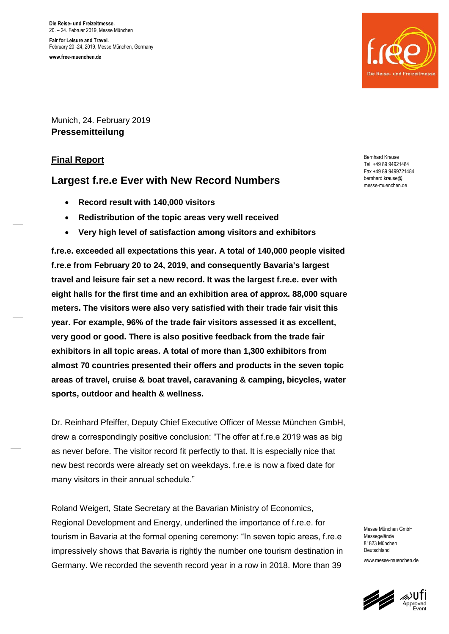**Die Reise- und Freizeitmesse.** 20. – 24. Februar 2019, Messe München **Fair for Leisure and Travel.** February 20 -24, 2019, Messe München, Germany **www.free-muenchen.de**



Munich, 24. February 2019 **Pressemitteilung** 

## **Final Report**

# **Largest f.re.e Ever with New Record Numbers**

- **Record result with 140,000 visitors**
- **Redistribution of the topic areas very well received**
- **Very high level of satisfaction among visitors and exhibitors**

**f.re.e. exceeded all expectations this year. A total of 140,000 people visited f.re.e from February 20 to 24, 2019, and consequently Bavaria's largest travel and leisure fair set a new record. It was the largest f.re.e. ever with eight halls for the first time and an exhibition area of approx. 88,000 square meters. The visitors were also very satisfied with their trade fair visit this year. For example, 96% of the trade fair visitors assessed it as excellent, very good or good. There is also positive feedback from the trade fair exhibitors in all topic areas. A total of more than 1,300 exhibitors from almost 70 countries presented their offers and products in the seven topic areas of travel, cruise & boat travel, caravaning & camping, bicycles, water sports, outdoor and health & wellness.**

Dr. Reinhard Pfeiffer, Deputy Chief Executive Officer of Messe München GmbH, drew a correspondingly positive conclusion: "The offer at f.re.e 2019 was as big as never before. The visitor record fit perfectly to that. It is especially nice that new best records were already set on weekdays. f.re.e is now a fixed date for many visitors in their annual schedule."

Roland Weigert, State Secretary at the Bavarian Ministry of Economics, Regional Development and Energy, underlined the importance of f.re.e. for tourism in Bavaria at the formal opening ceremony: "In seven topic areas, f.re.e impressively shows that Bavaria is rightly the number one tourism destination in Germany. We recorded the seventh record year in a row in 2018. More than 39

Bernhard Krause Tel. +49 89 94921484 Fax +49 89 9499721484 bernhard.krause@ messe-muenchen.de

Messe München GmbH Messegelände 81823 München Deutschland

www.messe-muenchen.de

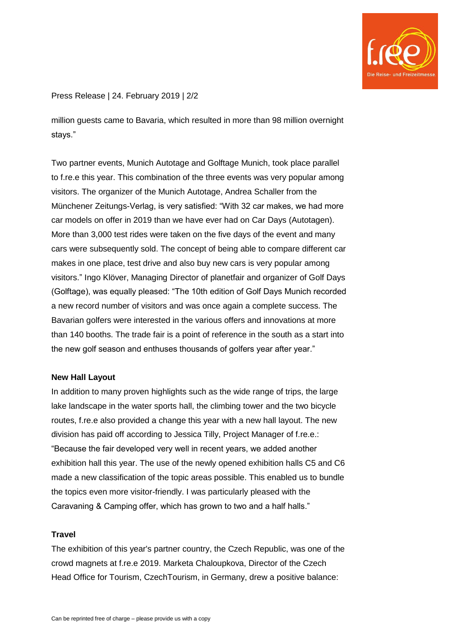

## Press Release | 24. February 2019 | 2/2

million guests came to Bavaria, which resulted in more than 98 million overnight stays."

Two partner events, Munich Autotage and Golftage Munich, took place parallel to f.re.e this year. This combination of the three events was very popular among visitors. The organizer of the Munich Autotage, Andrea Schaller from the Münchener Zeitungs-Verlag, is very satisfied: "With 32 car makes, we had more car models on offer in 2019 than we have ever had on Car Days (Autotagen). More than 3,000 test rides were taken on the five days of the event and many cars were subsequently sold. The concept of being able to compare different car makes in one place, test drive and also buy new cars is very popular among visitors." Ingo Klöver, Managing Director of planetfair and organizer of Golf Days (Golftage), was equally pleased: "The 10th edition of Golf Days Munich recorded a new record number of visitors and was once again a complete success. The Bavarian golfers were interested in the various offers and innovations at more than 140 booths. The trade fair is a point of reference in the south as a start into the new golf season and enthuses thousands of golfers year after year."

#### **New Hall Layout**

In addition to many proven highlights such as the wide range of trips, the large lake landscape in the water sports hall, the climbing tower and the two bicycle routes, f.re.e also provided a change this year with a new hall layout. The new division has paid off according to Jessica Tilly, Project Manager of f.re.e.: "Because the fair developed very well in recent years, we added another exhibition hall this year. The use of the newly opened exhibition halls C5 and C6 made a new classification of the topic areas possible. This enabled us to bundle the topics even more visitor-friendly. I was particularly pleased with the Caravaning & Camping offer, which has grown to two and a half halls."

#### **Travel**

The exhibition of this year's partner country, the Czech Republic, was one of the crowd magnets at f.re.e 2019. Marketa Chaloupkova, Director of the Czech Head Office for Tourism, CzechTourism, in Germany, drew a positive balance: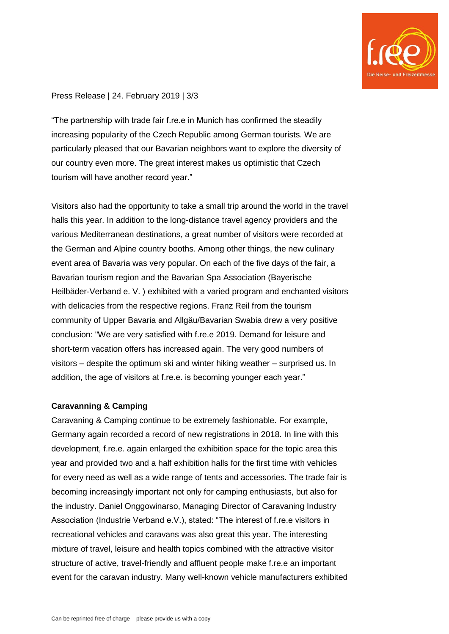

## Press Release | 24. February 2019 | 3/3

"The partnership with trade fair f.re.e in Munich has confirmed the steadily increasing popularity of the Czech Republic among German tourists. We are particularly pleased that our Bavarian neighbors want to explore the diversity of our country even more. The great interest makes us optimistic that Czech tourism will have another record year."

Visitors also had the opportunity to take a small trip around the world in the travel halls this year. In addition to the long-distance travel agency providers and the various Mediterranean destinations, a great number of visitors were recorded at the German and Alpine country booths. Among other things, the new culinary event area of Bavaria was very popular. On each of the five days of the fair, a Bavarian tourism region and the Bavarian Spa Association (Bayerische Heilbäder-Verband e. V. ) exhibited with a varied program and enchanted visitors with delicacies from the respective regions. Franz Reil from the tourism community of Upper Bavaria and Allgäu/Bavarian Swabia drew a very positive conclusion: "We are very satisfied with f.re.e 2019. Demand for leisure and short-term vacation offers has increased again. The very good numbers of visitors – despite the optimum ski and winter hiking weather – surprised us. In addition, the age of visitors at f.re.e. is becoming younger each year."

## **Caravanning & Camping**

Caravaning & Camping continue to be extremely fashionable. For example, Germany again recorded a record of new registrations in 2018. In line with this development, f.re.e. again enlarged the exhibition space for the topic area this year and provided two and a half exhibition halls for the first time with vehicles for every need as well as a wide range of tents and accessories. The trade fair is becoming increasingly important not only for camping enthusiasts, but also for the industry. Daniel Onggowinarso, Managing Director of Caravaning Industry Association (Industrie Verband e.V.), stated: "The interest of f.re.e visitors in recreational vehicles and caravans was also great this year. The interesting mixture of travel, leisure and health topics combined with the attractive visitor structure of active, travel-friendly and affluent people make f.re.e an important event for the caravan industry. Many well-known vehicle manufacturers exhibited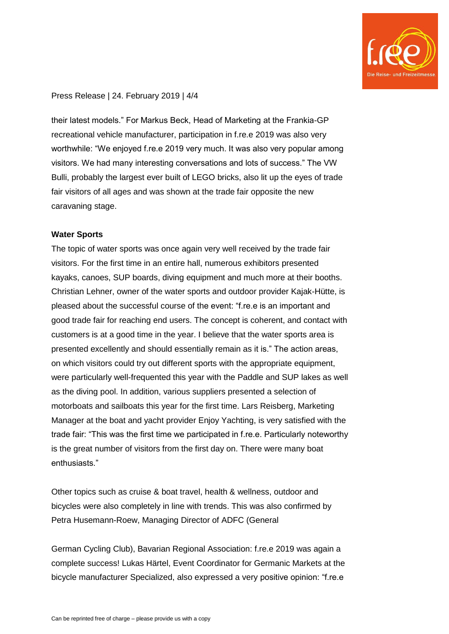

#### Press Release | 24. February 2019 | 4/4

their latest models." For Markus Beck, Head of Marketing at the Frankia-GP recreational vehicle manufacturer, participation in f.re.e 2019 was also very worthwhile: "We enjoyed f.re.e 2019 very much. It was also very popular among visitors. We had many interesting conversations and lots of success." The VW Bulli, probably the largest ever built of LEGO bricks, also lit up the eyes of trade fair visitors of all ages and was shown at the trade fair opposite the new caravaning stage.

### **Water Sports**

The topic of water sports was once again very well received by the trade fair visitors. For the first time in an entire hall, numerous exhibitors presented kayaks, canoes, SUP boards, diving equipment and much more at their booths. Christian Lehner, owner of the water sports and outdoor provider Kajak-Hütte, is pleased about the successful course of the event: "f.re.e is an important and good trade fair for reaching end users. The concept is coherent, and contact with customers is at a good time in the year. I believe that the water sports area is presented excellently and should essentially remain as it is." The action areas, on which visitors could try out different sports with the appropriate equipment, were particularly well-frequented this year with the Paddle and SUP lakes as well as the diving pool. In addition, various suppliers presented a selection of motorboats and sailboats this year for the first time. Lars Reisberg, Marketing Manager at the boat and yacht provider Enjoy Yachting, is very satisfied with the trade fair: "This was the first time we participated in f.re.e. Particularly noteworthy is the great number of visitors from the first day on. There were many boat enthusiasts."

Other topics such as cruise & boat travel, health & wellness, outdoor and bicycles were also completely in line with trends. This was also confirmed by Petra Husemann-Roew, Managing Director of ADFC (General

German Cycling Club), Bavarian Regional Association: f.re.e 2019 was again a complete success! Lukas Härtel, Event Coordinator for Germanic Markets at the bicycle manufacturer Specialized, also expressed a very positive opinion: "f.re.e